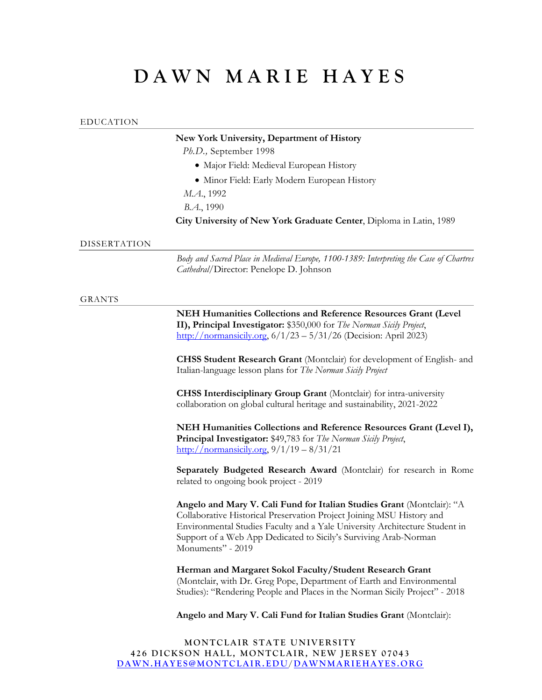# **DAWN MARIE HAYES**

#### EDUCATION

# **New York University, Department of History**

 *Ph.D.,* September 1998

- Major Field: Medieval European History
- Minor Field: Early Modern European History

*M.A*., 1992

*B.A*., 1990

**City University of New York Graduate Center**, Diploma in Latin, 1989

#### DISSERTATION

*Body and Sacred Place in Medieval Europe, 1100-1389: Interpreting the Case of Chartres Cathedral*/Director: Penelope D. Johnson

#### GRANTS

**NEH Humanities Collections and Reference Resources Grant (Level II), Principal Investigator:** \$350,000 for *The Norman Sicily Project*, http://normansicily.org, 6/1/23 – 5/31/26 (Decision: April 2023)

**CHSS Student Research Grant** (Montclair) for development of English- and Italian-language lesson plans for *The Norman Sicily Project*

**CHSS Interdisciplinary Group Grant** (Montclair) for intra-university collaboration on global cultural heritage and sustainability, 2021-2022

**NEH Humanities Collections and Reference Resources Grant (Level I), Principal Investigator:** \$49,783 for *The Norman Sicily Project*, http://normansicily.org, 9/1/19 – 8/31/21

**Separately Budgeted Research Award** (Montclair) for research in Rome related to ongoing book project - 2019

**Angelo and Mary V. Cali Fund for Italian Studies Grant** (Montclair): "A Collaborative Historical Preservation Project Joining MSU History and Environmental Studies Faculty and a Yale University Architecture Student in Support of a Web App Dedicated to Sicily's Surviving Arab-Norman Monuments" - 2019

**Herman and Margaret Sokol Faculty/Student Research Grant** (Montclair, with Dr. Greg Pope, Department of Earth and Environmental Studies): "Rendering People and Places in the Norman Sicily Project" - 2018

**Angelo and Mary V. Cali Fund for Italian Studies Grant** (Montclair):

**MONTCLAIR STATE UNIVERSITY 426 DICKSON HALL, MONTCLAIR, NEW JERSEY 07043 DAWN.HAYES@MONTCLAIR.EDU/DAWNMARIEHAYES.ORG**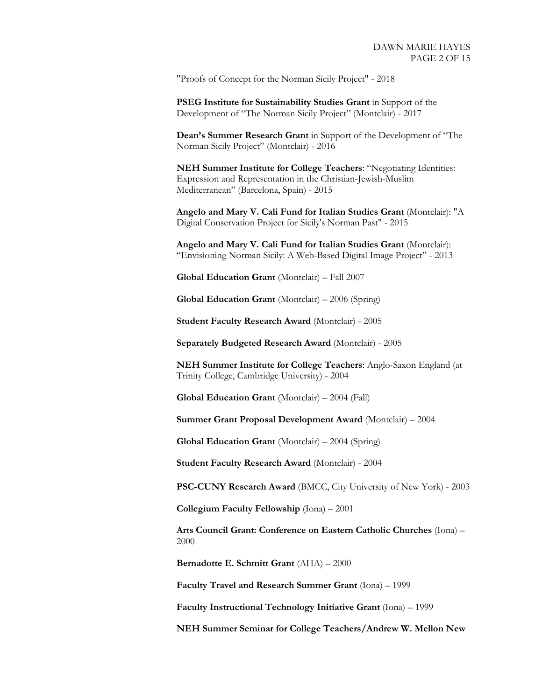"Proofs of Concept for the Norman Sicily Project" - 2018

**PSEG Institute for Sustainability Studies Grant** in Support of the Development of "The Norman Sicily Project" (Montclair) - 2017

**Dean's Summer Research Grant** in Support of the Development of "The Norman Sicily Project" (Montclair) - 2016

**NEH Summer Institute for College Teachers**: "Negotiating Identities: Expression and Representation in the Christian-Jewish-Muslim Mediterranean" (Barcelona, Spain) - 2015

**Angelo and Mary V. Cali Fund for Italian Studies Grant** (Montclair): "A Digital Conservation Project for Sicily's Norman Past" - 2015

**Angelo and Mary V. Cali Fund for Italian Studies Grant** (Montclair): "Envisioning Norman Sicily: A Web-Based Digital Image Project" - 2013

**Global Education Grant** (Montclair) – Fall 2007

**Global Education Grant** (Montclair) – 2006 (Spring)

**Student Faculty Research Award** (Montclair) - 2005

**Separately Budgeted Research Award** (Montclair) - 2005

**NEH Summer Institute for College Teachers**: Anglo-Saxon England (at Trinity College, Cambridge University) - 2004

**Global Education Grant** (Montclair) – 2004 (Fall)

**Summer Grant Proposal Development Award** (Montclair) – 2004

**Global Education Grant** (Montclair) – 2004 (Spring)

**Student Faculty Research Award** (Montclair) - 2004

**PSC-CUNY Research Award** (BMCC, City University of New York) - 2003

**Collegium Faculty Fellowship** (Iona) – 2001

**Arts Council Grant: Conference on Eastern Catholic Churches** (Iona) – 2000

**Bernadotte E. Schmitt Grant** (AHA) – 2000

**Faculty Travel and Research Summer Grant** (Iona) – 1999

**Faculty Instructional Technology Initiative Grant** (Iona) – 1999

**NEH Summer Seminar for College Teachers/Andrew W. Mellon New**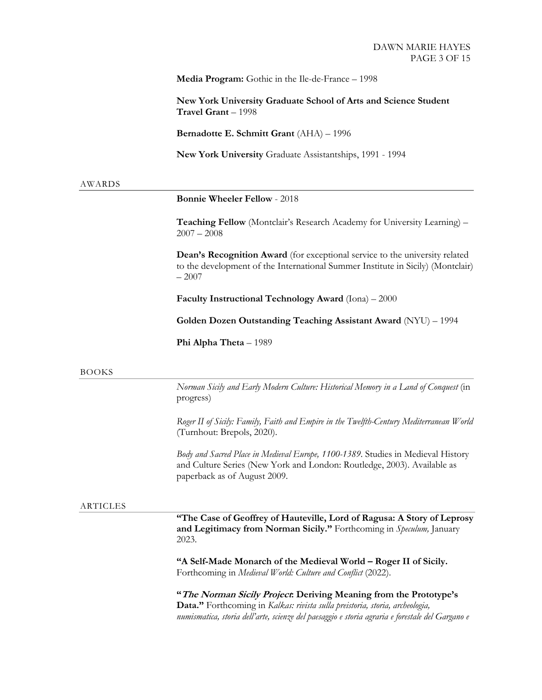**Media Program:** Gothic in the Ile-de-France – 1998

**New York University Graduate School of Arts and Science Student Travel Grant** – 1998

**Bernadotte E. Schmitt Grant** (AHA) – 1996

**New York University** Graduate Assistantships, 1991 - 1994

#### AWARDS

**Bonnie Wheeler Fellow** - 2018

**Teaching Fellow** (Montclair's Research Academy for University Learning) – 2007 – 2008

**Dean's Recognition Award** (for exceptional service to the university related to the development of the International Summer Institute in Sicily) (Montclair) – 2007

**Faculty Instructional Technology Award** (Iona) – 2000

**Golden Dozen Outstanding Teaching Assistant Award** (NYU) – 1994

**Phi Alpha Theta** – 1989

#### BOOKS

*Norman Sicily and Early Modern Culture: Historical Memory in a Land of Conquest* (in progress)

*Roger II of Sicily: Family, Faith and Empire in the Twelfth-Century Mediterranean World* (Turnhout: Brepols, 2020).

*Body and Sacred Place in Medieval Europe, 1100-1389*. Studies in Medieval History and Culture Series (New York and London: Routledge, 2003). Available as paperback as of August 2009.

#### ARTICLES

. 2023. **"The Case of Geoffrey of Hauteville, Lord of Ragusa: A Story of Leprosy and Legitimacy from Norman Sicily."** Forthcoming in *Speculum,* January

**"A Self-Made Monarch of the Medieval World – Roger II of Sicily.** Forthcoming in *Medieval World: Culture and Conflict* (2022).

**"The Norman Sicily Project: Deriving Meaning from the Prototype's Data."** Forthcoming in *Kalkas: rivista sulla preistoria, storia, archeologia, numismatica, storia dell'arte, scienze del paesaggio e storia agraria e forestale del Gargano e*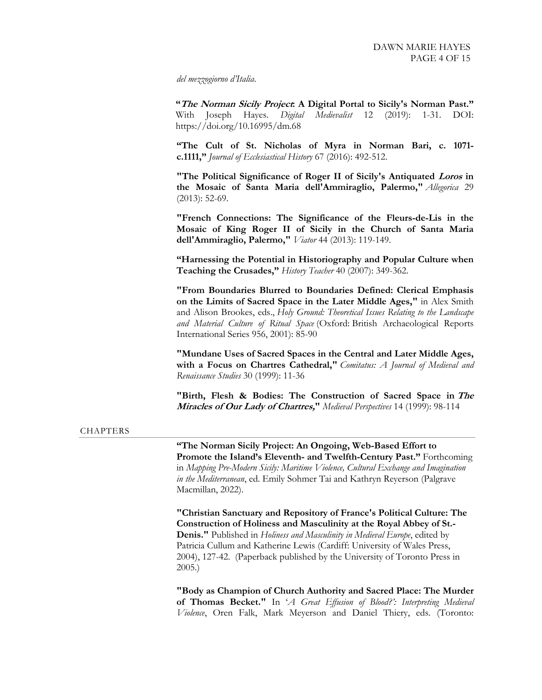*del mezzogiorno d'Italia*.

**"The Norman Sicily Project: A Digital Portal to Sicily's Norman Past."** With Joseph Hayes. *Digital Medievalist* 12 (2019): 1-31. DOI: https://doi.org/10.16995/dm.68

**"The Cult of St. Nicholas of Myra in Norman Bari, c. 1071 c.1111,"** *Journal of Ecclesiastical History* 67 (2016): 492-512.

**"The Political Significance of Roger II of Sicily's Antiquated Loros in the Mosaic of Santa Maria dell'Ammiraglio, Palermo,"** *Allegorica* 29 (2013): 52-69.

**"French Connections: The Significance of the Fleurs-de-Lis in the Mosaic of King Roger II of Sicily in the Church of Santa Maria dell'Ammiraglio, Palermo,"** *Viator* 44 (2013): 119-149.

**"Harnessing the Potential in Historiography and Popular Culture when Teaching the Crusades,"** *History Teacher* 40 (2007): 349-362.

**"From Boundaries Blurred to Boundaries Defined: Clerical Emphasis on the Limits of Sacred Space in the Later Middle Ages,"** in Alex Smith and Alison Brookes, eds., *Holy Ground: Theoretical Issues Relating to the Landscape and Material Culture of Ritual Space* (Oxford: British Archaeological Reports International Series 956, 2001): 85-90

**"Mundane Uses of Sacred Spaces in the Central and Later Middle Ages, with a Focus on Chartres Cathedral,"** *Comitatus: A Journal of Medieval and Renaissance Studies* 30 (1999): 11-36

**"Birth, Flesh & Bodies: The Construction of Sacred Space in The Miracles of Our Lady of Chartres,"** *Medieval Perspectives* 14 (1999): 98-114

#### CHAPTERS

**"The Norman Sicily Project: An Ongoing, Web-Based Effort to Promote the Island's Eleventh- and Twelfth-Century Past."** Forthcoming in *Mapping Pre-Modern Sicily: Maritime Violence, Cultural Exchange and Imagination in the Mediterranean*, ed. Emily Sohmer Tai and Kathryn Reyerson (Palgrave Macmillan, 2022).

**"Christian Sanctuary and Repository of France's Political Culture: The Construction of Holiness and Masculinity at the Royal Abbey of St.- Denis."** Published in *Holiness and Masculinity in Medieval Europe*, edited by Patricia Cullum and Katherine Lewis (Cardiff: University of Wales Press, 2004), 127-42. (Paperback published by the University of Toronto Press in 2005.)

**"Body as Champion of Church Authority and Sacred Place: The Murder of Thomas Becket."** In '*A Great Effusion of Blood?': Interpreting Medieval Violence*, Oren Falk, Mark Meyerson and Daniel Thiery, eds. (Toronto: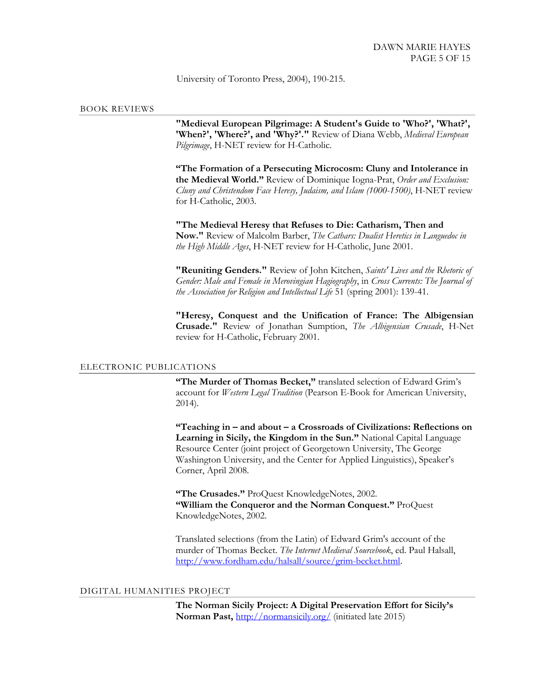University of Toronto Press, 2004), 190-215.

#### BOOK REVIEWS

**"Medieval European Pilgrimage: A Student's Guide to 'Who?', 'What?', 'When?', 'Where?', and 'Why?'."** Review of Diana Webb, *Medieval European Pilgrimage*, H-NET review for H-Catholic.

**"The Formation of a Persecuting Microcosm: Cluny and Intolerance in the Medieval World."** Review of Dominique Iogna-Prat, *Order and Exclusion: Cluny and Christendom Face Heresy, Judaism, and Islam (1000-1500)*, H-NET review for H-Catholic, 2003.

**"The Medieval Heresy that Refuses to Die: Catharism, Then and Now."** Review of Malcolm Barber, *The Cathars: Dualist Heretics in Languedoc in the High Middle Ages*, H-NET review for H-Catholic, June 2001.

**"Reuniting Genders."** Review of John Kitchen, *Saints' Lives and the Rhetoric of Gender: Male and Female in Merovingian Hagiography*, in *Cross Currents: The Journal of the Association for Religion and Intellectual Life* 51 (spring 2001): 139-41.

**"Heresy, Conquest and the Unification of France: The Albigensian Crusade."** Review of Jonathan Sumption, *The Albigensian Crusade*, H-Net review for H-Catholic, February 2001.

#### ELECTRONIC PUBLICATIONS

**"The Murder of Thomas Becket,"** translated selection of Edward Grim's account for *Western Legal Tradition* (Pearson E-Book for American University, 2014).

**"Teaching in – and about – a Crossroads of Civilizations: Reflections on Learning in Sicily, the Kingdom in the Sun."** National Capital Language Resource Center (joint project of Georgetown University, The George Washington University, and the Center for Applied Linguistics), Speaker's Corner, April 2008.

**"The Crusades."** ProQuest KnowledgeNotes, 2002. **"William the Conqueror and the Norman Conquest."** ProQuest KnowledgeNotes, 2002.

Translated selections (from the Latin) of Edward Grim's account of the murder of Thomas Becket. *The Internet Medieval Sourcebook*, ed. Paul Halsall, http://www.fordham.edu/halsall/source/grim-becket.html.

#### DIGITAL HUMANITIES PROJECT

**The Norman Sicily Project: A Digital Preservation Effort for Sicily's Norman Past,** http://normansicily.org/ (initiated late 2015)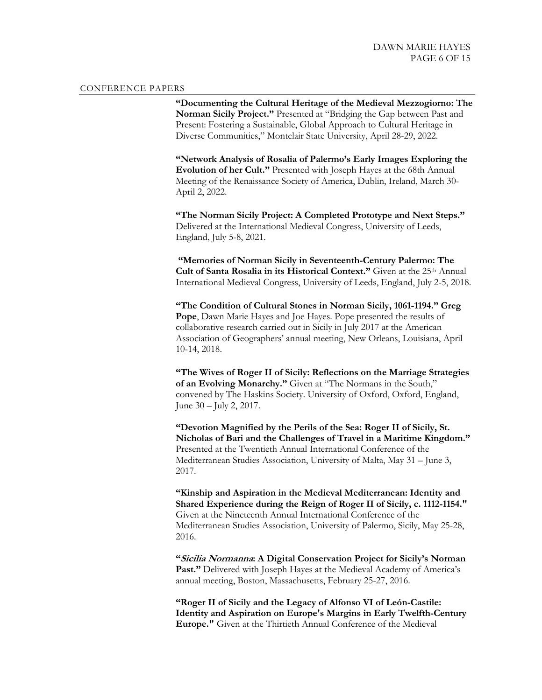#### CONFERENCE PAPERS

**"Documenting the Cultural Heritage of the Medieval Mezzogiorno: The Norman Sicily Project."** Presented at "Bridging the Gap between Past and Present: Fostering a Sustainable, Global Approach to Cultural Heritage in Diverse Communities," Montclair State University, April 28-29, 2022.

**"Network Analysis of Rosalia of Palermo's Early Images Exploring the Evolution of her Cult."** Presented with Joseph Hayes at the 68th Annual Meeting of the Renaissance Society of America, Dublin, Ireland, March 30- April 2, 2022.

**"The Norman Sicily Project: A Completed Prototype and Next Steps."** Delivered at the International Medieval Congress, University of Leeds, England, July 5-8, 2021.

**"Memories of Norman Sicily in Seventeenth-Century Palermo: The Cult of Santa Rosalia in its Historical Context."** Given at the 25<sup>th</sup> Annual International Medieval Congress, University of Leeds, England, July 2-5, 2018.

**"The Condition of Cultural Stones in Norman Sicily, 1061-1194." Greg Pope**, Dawn Marie Hayes and Joe Hayes. Pope presented the results of collaborative research carried out in Sicily in July 2017 at the American Association of Geographers' annual meeting, New Orleans, Louisiana, April 10-14, 2018.

**"The Wives of Roger II of Sicily: Reflections on the Marriage Strategies of an Evolving Monarchy."** Given at "The Normans in the South," convened by The Haskins Society. University of Oxford, Oxford, England, June 30 – July 2, 2017.

**"Devotion Magnified by the Perils of the Sea: Roger II of Sicily, St. Nicholas of Bari and the Challenges of Travel in a Maritime Kingdom."** Presented at the Twentieth Annual International Conference of the Mediterranean Studies Association, University of Malta, May 31 – June 3, 2017.

**"Kinship and Aspiration in the Medieval Mediterranean: Identity and Shared Experience during the Reign of Roger II of Sicily, c. 1112-1154."** Given at the Nineteenth Annual International Conference of the Mediterranean Studies Association, University of Palermo, Sicily, May 25-28, 2016.

**"Sicilia Normanna: A Digital Conservation Project for Sicily's Norman**  Past." Delivered with Joseph Hayes at the Medieval Academy of America's annual meeting, Boston, Massachusetts, February 25-27, 2016.

**"Roger II of Sicily and the Legacy of Alfonso VI of León-Castile: Identity and Aspiration on Europe's Margins in Early Twelfth-Century Europe."** Given at the Thirtieth Annual Conference of the Medieval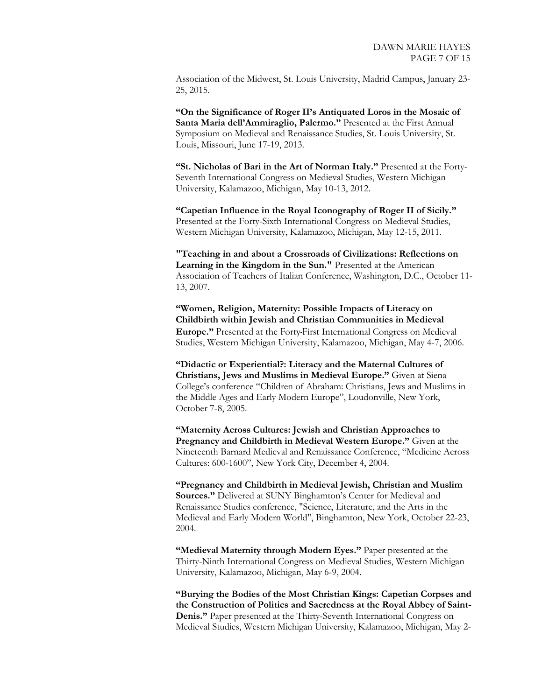Association of the Midwest, St. Louis University, Madrid Campus, January 23- 25, 2015.

**"On the Significance of Roger II's Antiquated Loros in the Mosaic of Santa Maria dell'Ammiraglio, Palermo."** Presented at the First Annual Symposium on Medieval and Renaissance Studies, St. Louis University, St. Louis, Missouri, June 17-19, 2013.

**"St. Nicholas of Bari in the Art of Norman Italy."** Presented at the Forty-Seventh International Congress on Medieval Studies, Western Michigan University, Kalamazoo, Michigan, May 10-13, 2012.

**"Capetian Influence in the Royal Iconography of Roger II of Sicily."**  Presented at the Forty-Sixth International Congress on Medieval Studies, Western Michigan University, Kalamazoo, Michigan, May 12-15, 2011.

**"Teaching in and about a Crossroads of Civilizations: Reflections on Learning in the Kingdom in the Sun."** Presented at the American Association of Teachers of Italian Conference, Washington, D.C., October 11- 13, 2007.

**"Women, Religion, Maternity: Possible Impacts of Literacy on Childbirth within Jewish and Christian Communities in Medieval Europe."** Presented at the Forty-First International Congress on Medieval Studies, Western Michigan University, Kalamazoo, Michigan, May 4-7, 2006.

**"Didactic or Experiential?: Literacy and the Maternal Cultures of Christians, Jews and Muslims in Medieval Europe."** Given at Siena College's conference "Children of Abraham: Christians, Jews and Muslims in the Middle Ages and Early Modern Europe", Loudonville, New York, October 7-8, 2005.

**"Maternity Across Cultures: Jewish and Christian Approaches to Pregnancy and Childbirth in Medieval Western Europe."** Given at the Nineteenth Barnard Medieval and Renaissance Conference, "Medicine Across Cultures: 600-1600", New York City, December 4, 2004.

**"Pregnancy and Childbirth in Medieval Jewish, Christian and Muslim Sources."** Delivered at SUNY Binghamton's Center for Medieval and Renaissance Studies conference, "Science, Literature, and the Arts in the Medieval and Early Modern World", Binghamton, New York, October 22-23, 2004.

**"Medieval Maternity through Modern Eyes."** Paper presented at the Thirty-Ninth International Congress on Medieval Studies, Western Michigan University, Kalamazoo, Michigan, May 6-9, 2004.

**"Burying the Bodies of the Most Christian Kings: Capetian Corpses and the Construction of Politics and Sacredness at the Royal Abbey of Saint-Denis."** Paper presented at the Thirty-Seventh International Congress on Medieval Studies, Western Michigan University, Kalamazoo, Michigan, May 2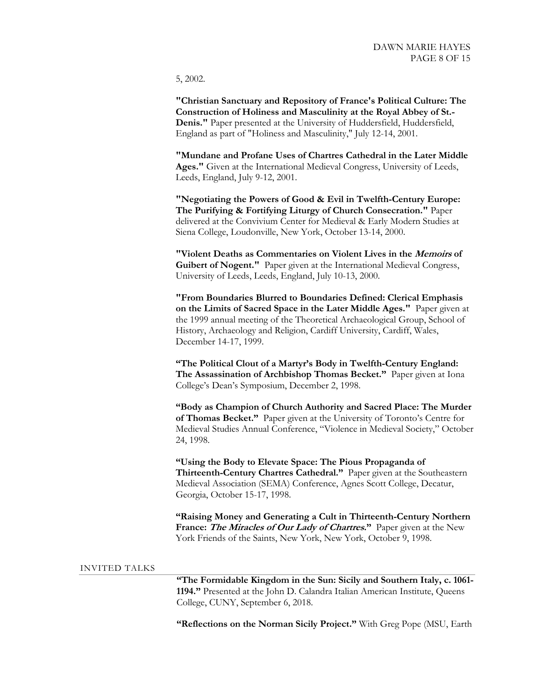5, 2002.

**"Christian Sanctuary and Repository of France's Political Culture: The Construction of Holiness and Masculinity at the Royal Abbey of St.- Denis."** Paper presented at the University of Huddersfield, Huddersfield, England as part of "Holiness and Masculinity," July 12-14, 2001.

**"Mundane and Profane Uses of Chartres Cathedral in the Later Middle Ages."** Given at the International Medieval Congress, University of Leeds, Leeds, England, July 9-12, 2001.

**"Negotiating the Powers of Good & Evil in Twelfth-Century Europe: The Purifying & Fortifying Liturgy of Church Consecration."** Paper delivered at the Convivium Center for Medieval & Early Modern Studies at Siena College, Loudonville, New York, October 13-14, 2000.

**"Violent Deaths as Commentaries on Violent Lives in the Memoirs of Guibert of Nogent."** Paper given at the International Medieval Congress, University of Leeds, Leeds, England, July 10-13, 2000.

**"From Boundaries Blurred to Boundaries Defined: Clerical Emphasis on the Limits of Sacred Space in the Later Middle Ages."** Paper given at the 1999 annual meeting of the Theoretical Archaeological Group, School of History, Archaeology and Religion, Cardiff University, Cardiff, Wales, December 14-17, 1999.

**"The Political Clout of a Martyr's Body in Twelfth-Century England: The Assassination of Archbishop Thomas Becket."** Paper given at Iona College's Dean's Symposium, December 2, 1998.

**"Body as Champion of Church Authority and Sacred Place: The Murder of Thomas Becket."** Paper given at the University of Toronto's Centre for Medieval Studies Annual Conference, "Violence in Medieval Society," October 24, 1998.

**"Using the Body to Elevate Space: The Pious Propaganda of Thirteenth-Century Chartres Cathedral."** Paper given at the Southeastern Medieval Association (SEMA) Conference, Agnes Scott College, Decatur, Georgia, October 15-17, 1998.

**"Raising Money and Generating a Cult in Thirteenth-Century Northern France: The Miracles of Our Lady of Chartres."** Paper given at the New York Friends of the Saints, New York, New York, October 9, 1998.

## INVITED TALKS

**"The Formidable Kingdom in the Sun: Sicily and Southern Italy, c. 1061- 1194."** Presented at the John D. Calandra Italian American Institute, Queens College, CUNY, September 6, 2018.

**"Reflections on the Norman Sicily Project."** With Greg Pope (MSU, Earth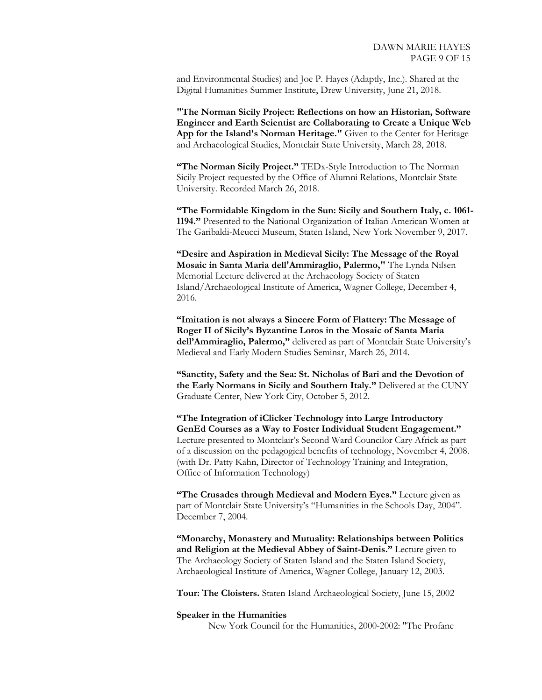and Environmental Studies) and Joe P. Hayes (Adaptly, Inc.). Shared at the Digital Humanities Summer Institute, Drew University, June 21, 2018.

**"The Norman Sicily Project: Reflections on how an Historian, Software Engineer and Earth Scientist are Collaborating to Create a Unique Web App for the Island's Norman Heritage."** Given to the Center for Heritage and Archaeological Studies, Montclair State University, March 28, 2018.

**"The Norman Sicily Project."** TEDx-Style Introduction to The Norman Sicily Project requested by the Office of Alumni Relations, Montclair State University. Recorded March 26, 2018.

**"The Formidable Kingdom in the Sun: Sicily and Southern Italy, c. 1061- 1194."** Presented to the National Organization of Italian American Women at The Garibaldi-Meucci Museum, Staten Island, New York November 9, 2017.

**"Desire and Aspiration in Medieval Sicily: The Message of the Royal Mosaic in Santa Maria dell'Ammiraglio, Palermo,"** The Lynda Nilsen Memorial Lecture delivered at the Archaeology Society of Staten Island/Archaeological Institute of America, Wagner College, December 4, 2016.

**"Imitation is not always a Sincere Form of Flattery: The Message of Roger II of Sicily's Byzantine Loros in the Mosaic of Santa Maria dell'Ammiraglio, Palermo,"** delivered as part of Montclair State University's Medieval and Early Modern Studies Seminar, March 26, 2014.

**"Sanctity, Safety and the Sea: St. Nicholas of Bari and the Devotion of the Early Normans in Sicily and Southern Italy."** Delivered at the CUNY Graduate Center, New York City, October 5, 2012.

**"The Integration of iClicker Technology into Large Introductory GenEd Courses as a Way to Foster Individual Student Engagement."**  Lecture presented to Montclair's Second Ward Councilor Cary Africk as part of a discussion on the pedagogical benefits of technology, November 4, 2008. (with Dr. Patty Kahn, Director of Technology Training and Integration, Office of Information Technology)

**"The Crusades through Medieval and Modern Eyes."** Lecture given as part of Montclair State University's "Humanities in the Schools Day, 2004". December 7, 2004.

**"Monarchy, Monastery and Mutuality: Relationships between Politics and Religion at the Medieval Abbey of Saint-Denis."** Lecture given to The Archaeology Society of Staten Island and the Staten Island Society, Archaeological Institute of America, Wagner College, January 12, 2003.

**Tour: The Cloisters.** Staten Island Archaeological Society, June 15, 2002

## **Speaker in the Humanities**

New York Council for the Humanities, 2000-2002: "The Profane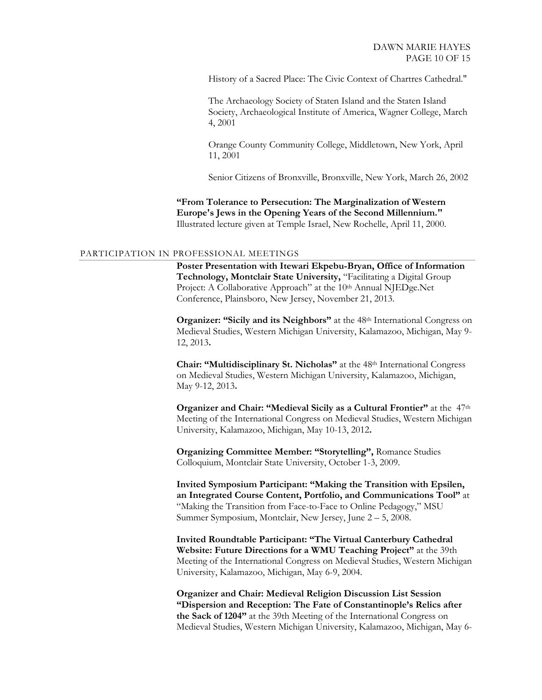History of a Sacred Place: The Civic Context of Chartres Cathedral."

The Archaeology Society of Staten Island and the Staten Island Society, Archaeological Institute of America, Wagner College, March 4, 2001

Orange County Community College, Middletown, New York, April 11, 2001

Senior Citizens of Bronxville, Bronxville, New York, March 26, 2002

**"From Tolerance to Persecution: The Marginalization of Western Europe's Jews in the Opening Years of the Second Millennium."** Illustrated lecture given at Temple Israel, New Rochelle, April 11, 2000.

#### PARTICIPATION IN PROFESSIONAL MEETINGS

**Poster Presentation with Itewari Ekpebu-Bryan, Office of Information Technology, Montclair State University,** "Facilitating a Digital Group Project: A Collaborative Approach" at the 10<sup>th</sup> Annual NJEDge.Net Conference, Plainsboro, New Jersey, November 21, 2013.

**Organizer: "Sicily and its Neighbors"** at the 48th International Congress on Medieval Studies, Western Michigan University, Kalamazoo, Michigan, May 9- 12, 2013**.**

**Chair: "Multidisciplinary St. Nicholas"** at the 48th International Congress on Medieval Studies, Western Michigan University, Kalamazoo, Michigan, May 9-12, 2013**.**

**Organizer and Chair: "Medieval Sicily as a Cultural Frontier"** at the47th Meeting of the International Congress on Medieval Studies, Western Michigan University, Kalamazoo, Michigan, May 10-13, 2012**.**

**Organizing Committee Member: "Storytelling",** Romance Studies Colloquium, Montclair State University, October 1-3, 2009.

**Invited Symposium Participant: "Making the Transition with Epsilen, an Integrated Course Content, Portfolio, and Communications Tool"** at "Making the Transition from Face-to-Face to Online Pedagogy," MSU Summer Symposium, Montclair, New Jersey, June 2 – 5, 2008.

**Invited Roundtable Participant: "The Virtual Canterbury Cathedral Website: Future Directions for a WMU Teaching Project"** at the 39th Meeting of the International Congress on Medieval Studies, Western Michigan University, Kalamazoo, Michigan, May 6-9, 2004.

**Organizer and Chair: Medieval Religion Discussion List Session "Dispersion and Reception: The Fate of Constantinople's Relics after the Sack of 1204"** at the 39th Meeting of the International Congress on Medieval Studies, Western Michigan University, Kalamazoo, Michigan, May 6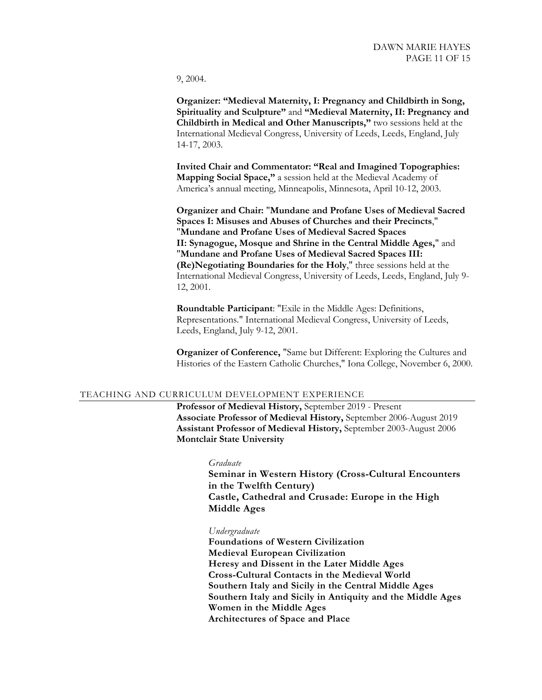9, 2004.

**Organizer: "Medieval Maternity, I: Pregnancy and Childbirth in Song, Spirituality and Sculpture"** and **"Medieval Maternity, II: Pregnancy and Childbirth in Medical and Other Manuscripts,"** two sessions held at the International Medieval Congress, University of Leeds, Leeds, England, July 14-17, 2003.

**Invited Chair and Commentator: "Real and Imagined Topographies: Mapping Social Space,"** a session held at the Medieval Academy of America's annual meeting, Minneapolis, Minnesota, April 10-12, 2003.

**Organizer and Chair:** "**Mundane and Profane Uses of Medieval Sacred Spaces I: Misuses and Abuses of Churches and their Precincts**," "**Mundane and Profane Uses of Medieval Sacred Spaces II: Synagogue, Mosque and Shrine in the Central Middle Ages,**" and "**Mundane and Profane Uses of Medieval Sacred Spaces III: (Re)Negotiating Boundaries for the Holy**," three sessions held at the International Medieval Congress, University of Leeds, Leeds, England, July 9- 12, 2001.

**Roundtable Participant**: "Exile in the Middle Ages: Definitions, Representations." International Medieval Congress, University of Leeds, Leeds, England, July 9-12, 2001.

**Organizer of Conference,** "Same but Different: Exploring the Cultures and Histories of the Eastern Catholic Churches," Iona College, November 6, 2000.

#### TEACHING AND CURRICULUM DEVELOPMENT EXPERIENCE

**Professor of Medieval History,** September 2019 - Present **Associate Professor of Medieval History,** September 2006-August 2019 **Assistant Professor of Medieval History,** September 2003-August 2006 **Montclair State University**

*Graduate*

**Seminar in Western History (Cross-Cultural Encounters in the Twelfth Century) Castle, Cathedral and Crusade: Europe in the High Middle Ages**

#### *Undergraduate*

**Foundations of Western Civilization Medieval European Civilization Heresy and Dissent in the Later Middle Ages Cross-Cultural Contacts in the Medieval World Southern Italy and Sicily in the Central Middle Ages Southern Italy and Sicily in Antiquity and the Middle Ages Women in the Middle Ages Architectures of Space and Place**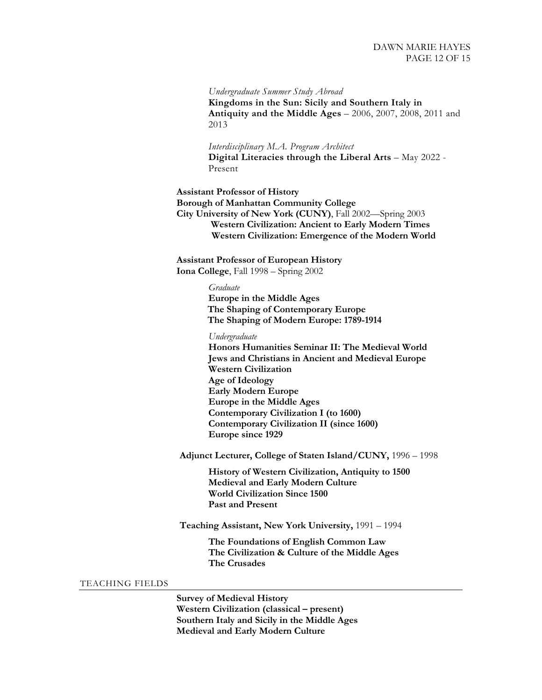*Undergraduate Summer Study Abroad* **Kingdoms in the Sun: Sicily and Southern Italy in Antiquity and the Middle Ages** – 2006, 2007, 2008, 2011 and 2013

*Interdisciplinary M.A. Program Architect* **Digital Literacies through the Liberal Arts** – May 2022 - Present

**Assistant Professor of History**

**Borough of Manhattan Community College City University of New York (CUNY)**, Fall 2002—Spring 2003 **Western Civilization: Ancient to Early Modern Times Western Civilization: Emergence of the Modern World** 

**Assistant Professor of European History Iona College**, Fall 1998 – Spring 2002

#### *Graduate*

**Europe in the Middle Ages The Shaping of Contemporary Europe The Shaping of Modern Europe: 1789-1914**

*Undergraduate*

**Honors Humanities Seminar II: The Medieval World Jews and Christians in Ancient and Medieval Europe Western Civilization Age of Ideology Early Modern Europe Europe in the Middle Ages Contemporary Civilization I (to 1600) Contemporary Civilization II (since 1600) Europe since 1929**

**Adjunct Lecturer, College of Staten Island/CUNY,** 1996 – 1998

**History of Western Civilization, Antiquity to 1500 Medieval and Early Modern Culture World Civilization Since 1500 Past and Present**

**Teaching Assistant, New York University,** 1991 – 1994

**The Foundations of English Common Law The Civilization & Culture of the Middle Ages The Crusades**

#### TEACHING FIELDS

**Survey of Medieval History Western Civilization (classical – present) Southern Italy and Sicily in the Middle Ages Medieval and Early Modern Culture**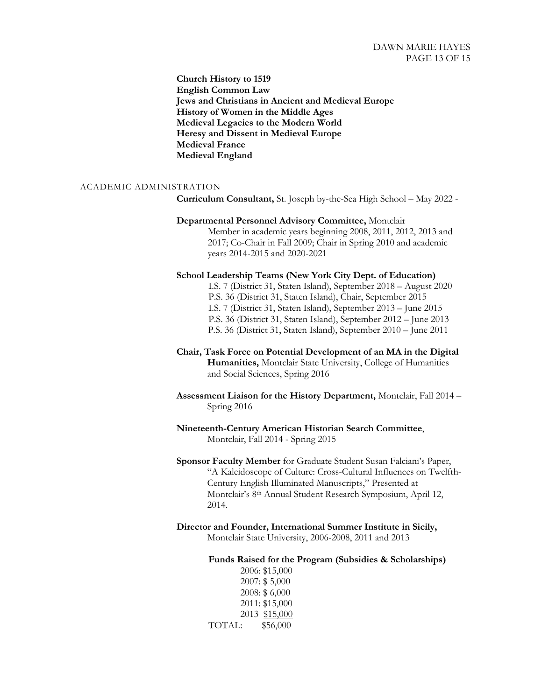**Church History to 1519 English Common Law Jews and Christians in Ancient and Medieval Europe History of Women in the Middle Ages Medieval Legacies to the Modern World Heresy and Dissent in Medieval Europe Medieval France Medieval England**

## ACADEMIC ADMINISTRATION

**Curriculum Consultant,** St. Joseph by-the-Sea High School – May 2022 -

#### **Departmental Personnel Advisory Committee,** Montclair

Member in academic years beginning 2008, 2011, 2012, 2013 and 2017; Co-Chair in Fall 2009; Chair in Spring 2010 and academic years 2014-2015 and 2020-2021

#### **School Leadership Teams (New York City Dept. of Education)**

I.S. 7 (District 31, Staten Island), September 2018 – August 2020 P.S. 36 (District 31, Staten Island), Chair, September 2015 I.S. 7 (District 31, Staten Island), September 2013 – June 2015 P.S. 36 (District 31, Staten Island), September 2012 – June 2013 P.S. 36 (District 31, Staten Island), September 2010 – June 2011

**Chair, Task Force on Potential Development of an MA in the Digital Humanities,** Montclair State University, College of Humanities and Social Sciences, Spring 2016

**Assessment Liaison for the History Department,** Montclair, Fall 2014 – Spring 2016

## **Nineteenth-Century American Historian Search Committee**, Montclair, Fall 2014 - Spring 2015

**Sponsor Faculty Member** for Graduate Student Susan Falciani's Paper, "A Kaleidoscope of Culture: Cross-Cultural Influences on Twelfth-Century English Illuminated Manuscripts," Presented at Montclair's 8th Annual Student Research Symposium, April 12, 2014.

# **Director and Founder, International Summer Institute in Sicily,**  Montclair State University, 2006-2008, 2011 and 2013

#### **Funds Raised for the Program (Subsidies & Scholarships)**

2006: \$15,000 2007: \$ 5,000 2008: \$ 6,000 2011: \$15,000 2013 \$15,000 TOTAL: \$56,000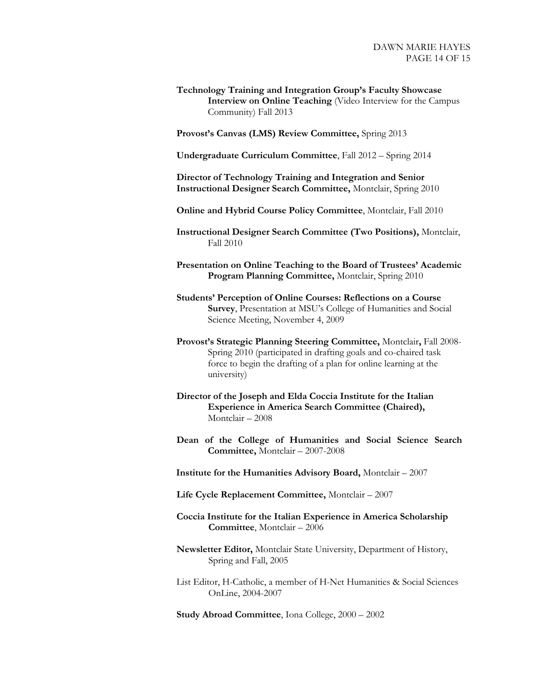- **Technology Training and Integration Group's Faculty Showcase Interview on Online Teaching** (Video Interview for the Campus Community) Fall 2013
- **Provost's Canvas (LMS) Review Committee,** Spring 2013
- **Undergraduate Curriculum Committee**, Fall 2012 Spring 2014
- **Director of Technology Training and Integration and Senior Instructional Designer Search Committee,** Montclair, Spring 2010
- **Online and Hybrid Course Policy Committee**, Montclair, Fall 2010
- **Instructional Designer Search Committee (Two Positions),** Montclair, Fall 2010
- **Presentation on Online Teaching to the Board of Trustees' Academic Program Planning Committee,** Montclair, Spring 2010
- **Students' Perception of Online Courses: Reflections on a Course Survey**, Presentation at MSU's College of Humanities and Social Science Meeting, November 4, 2009
- **Provost's Strategic Planning Steering Committee,** Montclair**,** Fall 2008- Spring 2010 (participated in drafting goals and co-chaired task force to begin the drafting of a plan for online learning at the university)
- **Director of the Joseph and Elda Coccia Institute for the Italian Experience in America Search Committee (Chaired),** Montclair – 2008
- **Dean of the College of Humanities and Social Science Search Committee,** Montclair – 2007-2008
- **Institute for the Humanities Advisory Board,** Montclair 2007
- **Life Cycle Replacement Committee,** Montclair 2007
- **Coccia Institute for the Italian Experience in America Scholarship Committee**, Montclair – 2006
- **Newsletter Editor,** Montclair State University, Department of History, Spring and Fall, 2005
- List Editor, H-Catholic, a member of H-Net Humanities & Social Sciences OnLine, 2004-2007
- **Study Abroad Committee**, Iona College, 2000 2002